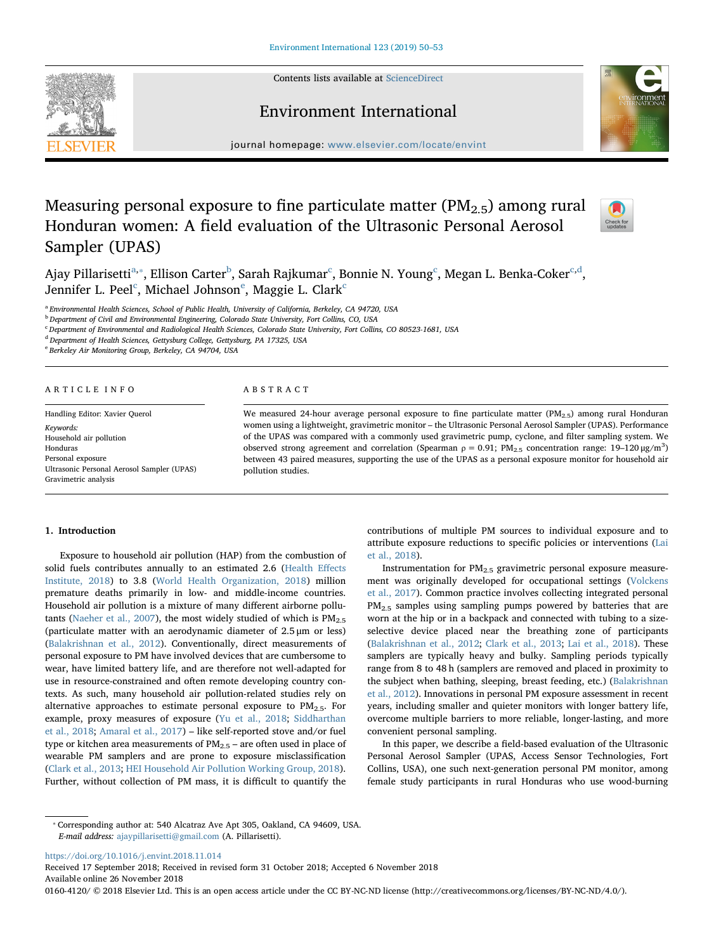Contents lists available at [ScienceDirect](http://www.sciencedirect.com/science/journal/01604120)







journal homepage: [www.elsevier.com/locate/envint](https://www.elsevier.com/locate/envint)

# Measuring personal exposure to fine particulate matter  $(PM_{2.5})$  among rural Honduran women: A field evaluation of the Ultrasonic Personal Aerosol Sampler (UPAS)



Ajay Pillarisetti<sup>[a,](#page-0-0)</sup>\*, Ellison Carter<sup>[b](#page-0-2)</sup>, Sarah Rajkumar<sup>[c](#page-0-3)</sup>, Bonnie N. Young<sup>c</sup>, Megan L. Benka-Coker<sup>c[,d](#page-0-4)</sup>, J[e](#page-0-5)nnifer L. Peel $^{\rm c}$  $^{\rm c}$  $^{\rm c}$ , Michael Johnson $^{\rm e}$ , Maggie L. Clark $^{\rm c}$ 

<span id="page-0-0"></span><sup>a</sup> Environmental Health Sciences, School of Public Health, University of California, Berkeley, CA 94720, USA

<span id="page-0-2"></span><sup>b</sup> Department of Civil and Environmental Engineering, Colorado State University, Fort Collins, CO, USA

<span id="page-0-3"></span><sup>c</sup> Department of Environmental and Radiological Health Sciences, Colorado State University, Fort Collins, CO 80523-1681, USA

<span id="page-0-4"></span><sup>d</sup> Department of Health Sciences, Gettysburg College, Gettysburg, PA 17325, USA

<span id="page-0-5"></span><sup>e</sup> Berkeley Air Monitoring Group, Berkeley, CA 94704, USA

## ARTICLE INFO

Handling Editor: Xavier Querol Keywords: Household air pollution Honduras Personal exposure Ultrasonic Personal Aerosol Sampler (UPAS) Gravimetric analysis

## ABSTRACT

We measured 24-hour average personal exposure to fine particulate matter ( $PM_{2.5}$ ) among rural Honduran women using a lightweight, gravimetric monitor – the Ultrasonic Personal Aerosol Sampler (UPAS). Performance of the UPAS was compared with a commonly used gravimetric pump, cyclone, and filter sampling system. We observed strong agreement and correlation (Spearman  $\rho = 0.91$ ; PM<sub>2.5</sub> concentration range: 19-120  $\mu$ g/m<sup>3</sup>) between 43 paired measures, supporting the use of the UPAS as a personal exposure monitor for household air pollution studies.

## 1. Introduction

Exposure to household air pollution (HAP) from the combustion of solid fuels contributes annually to an estimated 2.6 ([Health E](#page-3-0)ffects [Institute, 2018\)](#page-3-0) to 3.8 [\(World Health Organization, 2018\)](#page-3-1) million premature deaths primarily in low- and middle-income countries. Household air pollution is a mixture of many different airborne pollu-tants ([Naeher et al., 2007\)](#page-3-2), the most widely studied of which is  $PM_{2.5}$ (particulate matter with an aerodynamic diameter of 2.5 μm or less) ([Balakrishnan et al., 2012\)](#page-3-3). Conventionally, direct measurements of personal exposure to PM have involved devices that are cumbersome to wear, have limited battery life, and are therefore not well-adapted for use in resource-constrained and often remote developing country contexts. As such, many household air pollution-related studies rely on alternative approaches to estimate personal exposure to  $PM_{2.5}$ . For example, proxy measures of exposure ([Yu et al., 2018](#page-3-4); [Siddharthan](#page-3-5) [et al., 2018](#page-3-5); [Amaral et al., 2017](#page-3-6)) – like self-reported stove and/or fuel type or kitchen area measurements of  $PM_{2.5}$  – are often used in place of wearable PM samplers and are prone to exposure misclassification ([Clark et al., 2013;](#page-3-7) [HEI Household Air Pollution Working Group, 2018](#page-3-8)). Further, without collection of PM mass, it is difficult to quantify the contributions of multiple PM sources to individual exposure and to attribute exposure reductions to specific policies or interventions ([Lai](#page-3-9) [et al., 2018](#page-3-9)).

Instrumentation for  $PM<sub>2.5</sub>$  gravimetric personal exposure measurement was originally developed for occupational settings [\(Volckens](#page-3-10) [et al., 2017](#page-3-10)). Common practice involves collecting integrated personal  $PM_{2.5}$  samples using sampling pumps powered by batteries that are worn at the hip or in a backpack and connected with tubing to a sizeselective device placed near the breathing zone of participants ([Balakrishnan et al., 2012](#page-3-3); [Clark et al., 2013;](#page-3-7) [Lai et al., 2018](#page-3-9)). These samplers are typically heavy and bulky. Sampling periods typically range from 8 to 48 h (samplers are removed and placed in proximity to the subject when bathing, sleeping, breast feeding, etc.) ([Balakrishnan](#page-3-3) [et al., 2012](#page-3-3)). Innovations in personal PM exposure assessment in recent years, including smaller and quieter monitors with longer battery life, overcome multiple barriers to more reliable, longer-lasting, and more convenient personal sampling.

In this paper, we describe a field-based evaluation of the Ultrasonic Personal Aerosol Sampler (UPAS, Access Sensor Technologies, Fort Collins, USA), one such next-generation personal PM monitor, among female study participants in rural Honduras who use wood-burning

<https://doi.org/10.1016/j.envint.2018.11.014>

Received 17 September 2018; Received in revised form 31 October 2018; Accepted 6 November 2018 Available online 26 November 2018

0160-4120/ © 2018 Elsevier Ltd. This is an open access article under the CC BY-NC-ND license (http://creativecommons.org/licenses/BY-NC-ND/4.0/).

<span id="page-0-1"></span><sup>⁎</sup> Corresponding author at: 540 Alcatraz Ave Apt 305, Oakland, CA 94609, USA. E-mail address: [ajaypillarisetti@gmail.com](mailto:ajaypillarisetti@gmail.com) (A. Pillarisetti).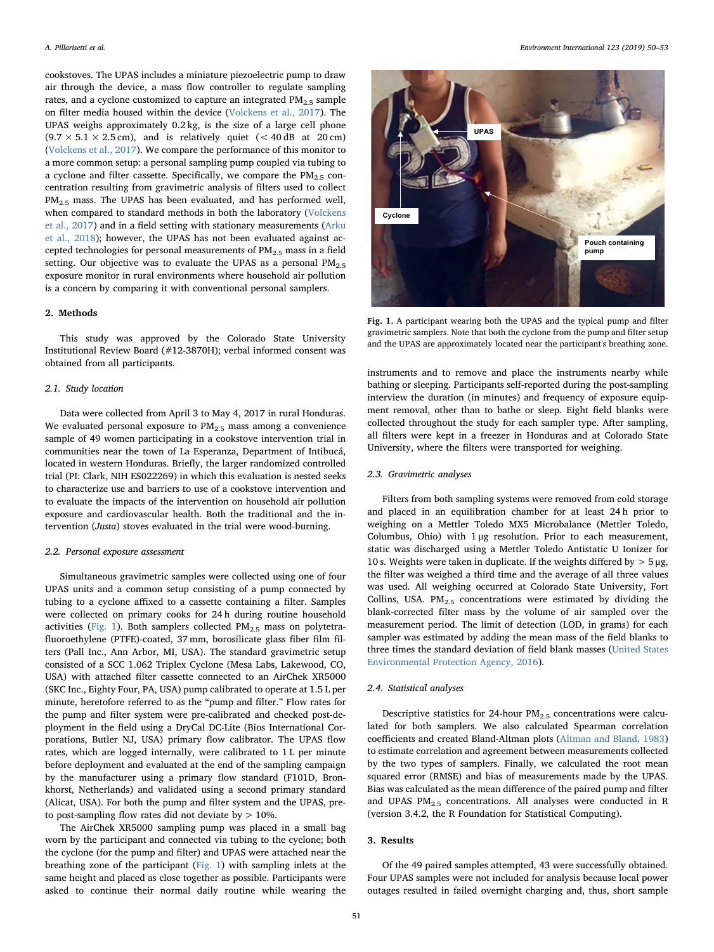cookstoves. The UPAS includes a miniature piezoelectric pump to draw air through the device, a mass flow controller to regulate sampling rates, and a cyclone customized to capture an integrated  $PM_{2.5}$  sample on filter media housed within the device [\(Volckens et al., 2017](#page-3-10)). The UPAS weighs approximately 0.2 kg, is the size of a large cell phone  $(9.7 \times 5.1 \times 2.5 \text{ cm})$ , and is relatively quiet (< 40 dB at 20 cm) ([Volckens et al., 2017](#page-3-10)). We compare the performance of this monitor to a more common setup: a personal sampling pump coupled via tubing to a cyclone and filter cassette. Specifically, we compare the  $PM_{2.5}$  concentration resulting from gravimetric analysis of filters used to collect  $PM<sub>25</sub>$  mass. The UPAS has been evaluated, and has performed well, when compared to standard methods in both the laboratory [\(Volckens](#page-3-10) [et al., 2017\)](#page-3-10) and in a field setting with stationary measurements [\(Arku](#page-3-11) [et al., 2018\)](#page-3-11); however, the UPAS has not been evaluated against accepted technologies for personal measurements of  $PM_{2.5}$  mass in a field setting. Our objective was to evaluate the UPAS as a personal  $PM_{2.5}$ exposure monitor in rural environments where household air pollution is a concern by comparing it with conventional personal samplers.

#### 2. Methods

This study was approved by the Colorado State University Institutional Review Board (#12-3870H); verbal informed consent was obtained from all participants.

### 2.1. Study location

Data were collected from April 3 to May 4, 2017 in rural Honduras. We evaluated personal exposure to PM<sub>2.5</sub> mass among a convenience sample of 49 women participating in a cookstove intervention trial in communities near the town of La Esperanza, Department of Intibucá, located in western Honduras. Briefly, the larger randomized controlled trial (PI: Clark, NIH ES022269) in which this evaluation is nested seeks to characterize use and barriers to use of a cookstove intervention and to evaluate the impacts of the intervention on household air pollution exposure and cardiovascular health. Both the traditional and the intervention (Justa) stoves evaluated in the trial were wood-burning.

## 2.2. Personal exposure assessment

Simultaneous gravimetric samples were collected using one of four UPAS units and a common setup consisting of a pump connected by tubing to a cyclone affixed to a cassette containing a filter. Samples were collected on primary cooks for 24 h during routine household activities [\(Fig. 1\)](#page-1-0). Both samplers collected  $PM_{2.5}$  mass on polytetrafluoroethylene (PTFE)-coated, 37 mm, borosilicate glass fiber film filters (Pall Inc., Ann Arbor, MI, USA). The standard gravimetric setup consisted of a SCC 1.062 Triplex Cyclone (Mesa Labs, Lakewood, CO, USA) with attached filter cassette connected to an AirChek XR5000 (SKC Inc., Eighty Four, PA, USA) pump calibrated to operate at 1.5 L per minute, heretofore referred to as the "pump and filter." Flow rates for the pump and filter system were pre-calibrated and checked post-deployment in the field using a DryCal DC-Lite (Bios International Corporations, Butler NJ, USA) primary flow calibrator. The UPAS flow rates, which are logged internally, were calibrated to 1 L per minute before deployment and evaluated at the end of the sampling campaign by the manufacturer using a primary flow standard (F101D, Bronkhorst, Netherlands) and validated using a second primary standard (Alicat, USA). For both the pump and filter system and the UPAS, preto post-sampling flow rates did not deviate by  $> 10\%$ .

The AirChek XR5000 sampling pump was placed in a small bag worn by the participant and connected via tubing to the cyclone; both the cyclone (for the pump and filter) and UPAS were attached near the breathing zone of the participant ([Fig. 1\)](#page-1-0) with sampling inlets at the same height and placed as close together as possible. Participants were asked to continue their normal daily routine while wearing the

<span id="page-1-0"></span>

Fig. 1. A participant wearing both the UPAS and the typical pump and filter gravimetric samplers. Note that both the cyclone from the pump and filter setup and the UPAS are approximately located near the participant's breathing zone.

instruments and to remove and place the instruments nearby while bathing or sleeping. Participants self-reported during the post-sampling interview the duration (in minutes) and frequency of exposure equipment removal, other than to bathe or sleep. Eight field blanks were collected throughout the study for each sampler type. After sampling, all filters were kept in a freezer in Honduras and at Colorado State University, where the filters were transported for weighing.

## 2.3. Gravimetric analyses

Filters from both sampling systems were removed from cold storage and placed in an equilibration chamber for at least 24 h prior to weighing on a Mettler Toledo MX5 Microbalance (Mettler Toledo, Columbus, Ohio) with 1 μg resolution. Prior to each measurement, static was discharged using a Mettler Toledo Antistatic U Ionizer for 10 s. Weights were taken in duplicate. If the weights differed by  $>$  5  $\mu$ g, the filter was weighed a third time and the average of all three values was used. All weighing occurred at Colorado State University, Fort Collins, USA.  $PM_{2.5}$  concentrations were estimated by dividing the blank-corrected filter mass by the volume of air sampled over the measurement period. The limit of detection (LOD, in grams) for each sampler was estimated by adding the mean mass of the field blanks to three times the standard deviation of field blank masses ([United States](#page-3-12) [Environmental Protection Agency, 2016](#page-3-12)).

## 2.4. Statistical analyses

Descriptive statistics for 24-hour  $PM_{2.5}$  concentrations were calculated for both samplers. We also calculated Spearman correlation coefficients and created Bland-Altman plots [\(Altman and Bland, 1983\)](#page-3-13) to estimate correlation and agreement between measurements collected by the two types of samplers. Finally, we calculated the root mean squared error (RMSE) and bias of measurements made by the UPAS. Bias was calculated as the mean difference of the paired pump and filter and UPAS  $PM<sub>2.5</sub>$  concentrations. All analyses were conducted in R (version 3.4.2, the R Foundation for Statistical Computing).

#### 3. Results

Of the 49 paired samples attempted, 43 were successfully obtained. Four UPAS samples were not included for analysis because local power outages resulted in failed overnight charging and, thus, short sample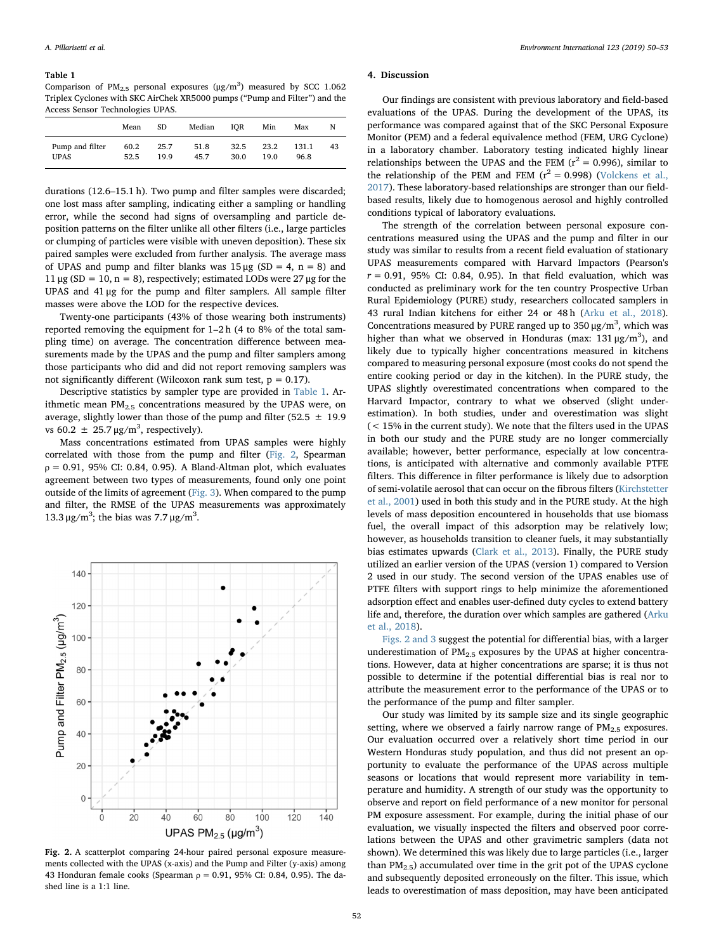#### <span id="page-2-0"></span>Table 1

Comparison of  $PM_{2.5}$  personal exposures ( $\mu$ g/m<sup>3</sup>) measured by SCC 1.062 Triplex Cyclones with SKC AirChek XR5000 pumps ("Pump and Filter") and the Access Sensor Technologies UPAS.

|                                | Mean         | SD           | Median       | IOR          | Min          | Max           | N  |
|--------------------------------|--------------|--------------|--------------|--------------|--------------|---------------|----|
| Pump and filter<br><b>UPAS</b> | 60.2<br>52.5 | 25.7<br>19.9 | 51.8<br>45.7 | 32.5<br>30.0 | 23.2<br>19.0 | 131.1<br>96.8 | 43 |

durations (12.6–15.1 h). Two pump and filter samples were discarded; one lost mass after sampling, indicating either a sampling or handling error, while the second had signs of oversampling and particle deposition patterns on the filter unlike all other filters (i.e., large particles or clumping of particles were visible with uneven deposition). These six paired samples were excluded from further analysis. The average mass of UPAS and pump and filter blanks was  $15 \mu$ g (SD = 4, n = 8) and  $11 \mu$ g (SD = 10, n = 8), respectively; estimated LODs were 27 μg for the UPAS and 41 μg for the pump and filter samplers. All sample filter masses were above the LOD for the respective devices.

Twenty-one participants (43% of those wearing both instruments) reported removing the equipment for 1–2 h (4 to 8% of the total sampling time) on average. The concentration difference between measurements made by the UPAS and the pump and filter samplers among those participants who did and did not report removing samplers was not significantly different (Wilcoxon rank sum test,  $p = 0.17$ ).

Descriptive statistics by sampler type are provided in [Table 1](#page-2-0). Arithmetic mean  $PM<sub>2.5</sub>$  concentrations measured by the UPAS were, on average, slightly lower than those of the pump and filter (52.5  $\pm$  19.9 vs 60.2  $\pm$  25.7  $\mu$ g/m<sup>3</sup>, respectively).

Mass concentrations estimated from UPAS samples were highly correlated with those from the pump and filter ([Fig. 2,](#page-2-1) Spearman  $p = 0.91$ , 95% CI: 0.84, 0.95). A Bland-Altman plot, which evaluates agreement between two types of measurements, found only one point outside of the limits of agreement [\(Fig. 3\)](#page-3-14). When compared to the pump and filter, the RMSE of the UPAS measurements was approximately 13.3 μg/m<sup>3</sup>; the bias was 7.7 μg/m<sup>3</sup>.

<span id="page-2-1"></span>

Fig. 2. A scatterplot comparing 24-hour paired personal exposure measurements collected with the UPAS (x-axis) and the Pump and Filter (y-axis) among 43 Honduran female cooks (Spearman  $ρ = 0.91$ , 95% CI: 0.84, 0.95). The dashed line is a 1:1 line.

#### 4. Discussion

Our findings are consistent with previous laboratory and field-based evaluations of the UPAS. During the development of the UPAS, its performance was compared against that of the SKC Personal Exposure Monitor (PEM) and a federal equivalence method (FEM, URG Cyclone) in a laboratory chamber. Laboratory testing indicated highly linear relationships between the UPAS and the FEM ( $r^2$  = 0.996), similar to the relationship of the PEM and FEM  $(r^2 = 0.998)$  ([Volckens et al.,](#page-3-10) [2017\)](#page-3-10). These laboratory-based relationships are stronger than our fieldbased results, likely due to homogenous aerosol and highly controlled conditions typical of laboratory evaluations.

The strength of the correlation between personal exposure concentrations measured using the UPAS and the pump and filter in our study was similar to results from a recent field evaluation of stationary UPAS measurements compared with Harvard Impactors (Pearson's  $r = 0.91$ , 95% CI: 0.84, 0.95). In that field evaluation, which was conducted as preliminary work for the ten country Prospective Urban Rural Epidemiology (PURE) study, researchers collocated samplers in 43 rural Indian kitchens for either 24 or 48 h [\(Arku et al., 2018](#page-3-11)). Concentrations measured by PURE ranged up to  $350 \mu g/m^3$ , which was higher than what we observed in Honduras (max:  $131 \mu g/m^3$ ), and likely due to typically higher concentrations measured in kitchens compared to measuring personal exposure (most cooks do not spend the entire cooking period or day in the kitchen). In the PURE study, the UPAS slightly overestimated concentrations when compared to the Harvard Impactor, contrary to what we observed (slight underestimation). In both studies, under and overestimation was slight (< 15% in the current study). We note that the filters used in the UPAS in both our study and the PURE study are no longer commercially available; however, better performance, especially at low concentrations, is anticipated with alternative and commonly available PTFE filters. This difference in filter performance is likely due to adsorption of semi-volatile aerosol that can occur on the fibrous filters ([Kirchstetter](#page-3-15) [et al., 2001\)](#page-3-15) used in both this study and in the PURE study. At the high levels of mass deposition encountered in households that use biomass fuel, the overall impact of this adsorption may be relatively low; however, as households transition to cleaner fuels, it may substantially bias estimates upwards ([Clark et al., 2013\)](#page-3-7). Finally, the PURE study utilized an earlier version of the UPAS (version 1) compared to Version 2 used in our study. The second version of the UPAS enables use of PTFE filters with support rings to help minimize the aforementioned adsorption effect and enables user-defined duty cycles to extend battery life and, therefore, the duration over which samples are gathered [\(Arku](#page-3-11) [et al., 2018](#page-3-11)).

[Figs. 2 and 3](#page-2-1) suggest the potential for differential bias, with a larger underestimation of  $PM<sub>2.5</sub>$  exposures by the UPAS at higher concentrations. However, data at higher concentrations are sparse; it is thus not possible to determine if the potential differential bias is real nor to attribute the measurement error to the performance of the UPAS or to the performance of the pump and filter sampler.

Our study was limited by its sample size and its single geographic setting, where we observed a fairly narrow range of  $PM_{2.5}$  exposures. Our evaluation occurred over a relatively short time period in our Western Honduras study population, and thus did not present an opportunity to evaluate the performance of the UPAS across multiple seasons or locations that would represent more variability in temperature and humidity. A strength of our study was the opportunity to observe and report on field performance of a new monitor for personal PM exposure assessment. For example, during the initial phase of our evaluation, we visually inspected the filters and observed poor correlations between the UPAS and other gravimetric samplers (data not shown). We determined this was likely due to large particles (i.e., larger than  $PM<sub>2.5</sub>$ ) accumulated over time in the grit pot of the UPAS cyclone and subsequently deposited erroneously on the filter. This issue, which leads to overestimation of mass deposition, may have been anticipated